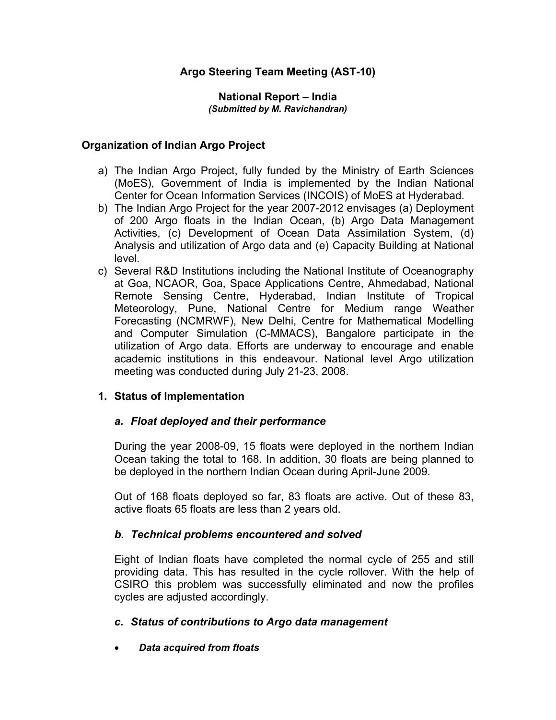## **Argo Steering Team Meeting (AST-10)**

#### **National Report – India**  *(Submitted by M. Ravichandran)*

## **Organization of Indian Argo Project**

- a) The Indian Argo Project, fully funded by the Ministry of Earth Sciences (MoES), Government of India is implemented by the Indian National Center for Ocean Information Services (INCOIS) of MoES at Hyderabad.
- b) The Indian Argo Project for the year 2007-2012 envisages (a) Deployment of 200 Argo floats in the Indian Ocean, (b) Argo Data Management Activities, (c) Development of Ocean Data Assimilation System, (d) Analysis and utilization of Argo data and (e) Capacity Building at National level.
- c) Several R&D Institutions including the National Institute of Oceanography at Goa, NCAOR, Goa, Space Applications Centre, Ahmedabad, National Remote Sensing Centre, Hyderabad, Indian Institute of Tropical Meteorology, Pune, National Centre for Medium range Weather Forecasting (NCMRWF), New Delhi, Centre for Mathematical Modelling and Computer Simulation (C-MMACS), Bangalore participate in the utilization of Argo data. Efforts are underway to encourage and enable academic institutions in this endeavour. National level Argo utilization meeting was conducted during July 21-23, 2008.

## **1. Status of Implementation**

## *a. Float deployed and their performance*

During the year 2008-09, 15 floats were deployed in the northern Indian Ocean taking the total to 168. In addition, 30 floats are being planned to be deployed in the northern Indian Ocean during April-June 2009.

Out of 168 floats deployed so far, 83 floats are active. Out of these 83, active floats 65 floats are less than 2 years old.

## *b. Technical problems encountered and solved*

Eight of Indian floats have completed the normal cycle of 255 and still providing data. This has resulted in the cycle rollover. With the help of CSIRO this problem was successfully eliminated and now the profiles cycles are adjusted accordingly.

## *c. Status of contributions to Argo data management*

• *Data acquired from floats*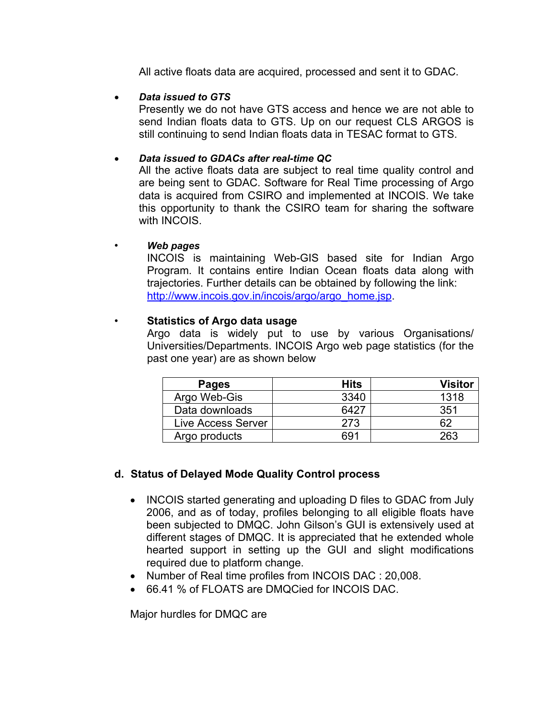All active floats data are acquired, processed and sent it to GDAC.

• *Data issued to GTS* 

 Presently we do not have GTS access and hence we are not able to send Indian floats data to GTS. Up on our request CLS ARGOS is still continuing to send Indian floats data in TESAC format to GTS.

## • *Data issued to GDACs after real-time QC*

All the active floats data are subject to real time quality control and are being sent to GDAC. Software for Real Time processing of Argo data is acquired from CSIRO and implemented at INCOIS. We take this opportunity to thank the CSIRO team for sharing the software with INCOIS.

### • *Web pages*

INCOIS is maintaining Web-GIS based site for Indian Argo Program. It contains entire Indian Ocean floats data along with trajectories. Further details can be obtained by following the link: http://www.incois.gov.in/incois/argo/argo\_home.jsp.

## • **Statistics of Argo data usage**

Argo data is widely put to use by various Organisations/ Universities/Departments. INCOIS Argo web page statistics (for the past one year) are as shown below

| <b>Pages</b>       | Hits | <b>Visitor</b> |
|--------------------|------|----------------|
| Argo Web-Gis       | 3340 | 1318           |
| Data downloads     | 6427 | 351            |
| Live Access Server | 273  | 62             |
| Argo products      | 691  | 263            |

## **d. Status of Delayed Mode Quality Control process**

- INCOIS started generating and uploading D files to GDAC from July 2006, and as of today, profiles belonging to all eligible floats have been subjected to DMQC. John Gilson's GUI is extensively used at different stages of DMQC. It is appreciated that he extended whole hearted support in setting up the GUI and slight modifications required due to platform change.
- Number of Real time profiles from INCOIS DAC : 20,008.
- 66.41 % of FLOATS are DMQCied for INCOIS DAC.

Major hurdles for DMQC are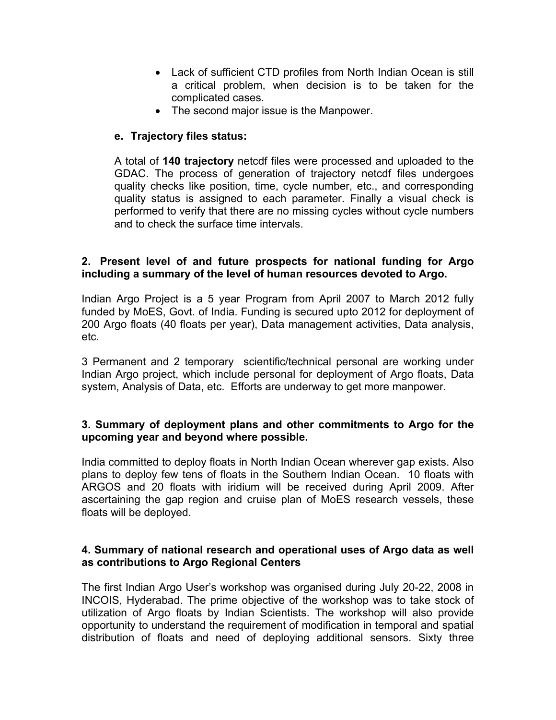- Lack of sufficient CTD profiles from North Indian Ocean is still a critical problem, when decision is to be taken for the complicated cases.
- The second major issue is the Manpower.

## **e. Trajectory files status:**

A total of **140 trajectory** netcdf files were processed and uploaded to the GDAC. The process of generation of trajectory netcdf files undergoes quality checks like position, time, cycle number, etc., and corresponding quality status is assigned to each parameter. Finally a visual check is performed to verify that there are no missing cycles without cycle numbers and to check the surface time intervals.

## **2. Present level of and future prospects for national funding for Argo including a summary of the level of human resources devoted to Argo.**

Indian Argo Project is a 5 year Program from April 2007 to March 2012 fully funded by MoES, Govt. of India. Funding is secured upto 2012 for deployment of 200 Argo floats (40 floats per year), Data management activities, Data analysis, etc.

3 Permanent and 2 temporary scientific/technical personal are working under Indian Argo project, which include personal for deployment of Argo floats, Data system, Analysis of Data, etc. Efforts are underway to get more manpower.

## **3. Summary of deployment plans and other commitments to Argo for the upcoming year and beyond where possible.**

India committed to deploy floats in North Indian Ocean wherever gap exists. Also plans to deploy few tens of floats in the Southern Indian Ocean. 10 floats with ARGOS and 20 floats with iridium will be received during April 2009. After ascertaining the gap region and cruise plan of MoES research vessels, these floats will be deployed.

## **4. Summary of national research and operational uses of Argo data as well as contributions to Argo Regional Centers**

The first Indian Argo User's workshop was organised during July 20-22, 2008 in INCOIS, Hyderabad. The prime objective of the workshop was to take stock of utilization of Argo floats by Indian Scientists. The workshop will also provide opportunity to understand the requirement of modification in temporal and spatial distribution of floats and need of deploying additional sensors. Sixty three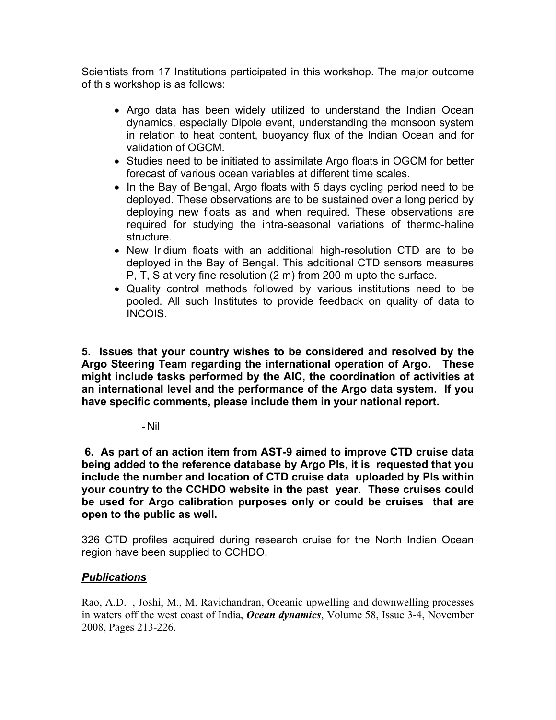Scientists from 17 Institutions participated in this workshop. The major outcome of this workshop is as follows:

- Argo data has been widely utilized to understand the Indian Ocean dynamics, especially Dipole event, understanding the monsoon system in relation to heat content, buoyancy flux of the Indian Ocean and for validation of OGCM.
- Studies need to be initiated to assimilate Argo floats in OGCM for better forecast of various ocean variables at different time scales.
- In the Bay of Bengal, Argo floats with 5 days cycling period need to be deployed. These observations are to be sustained over a long period by deploying new floats as and when required. These observations are required for studying the intra-seasonal variations of thermo-haline structure.
- New Iridium floats with an additional high-resolution CTD are to be deployed in the Bay of Bengal. This additional CTD sensors measures P, T, S at very fine resolution (2 m) from 200 m upto the surface.
- Quality control methods followed by various institutions need to be pooled. All such Institutes to provide feedback on quality of data to INCOIS.

**5. Issues that your country wishes to be considered and resolved by the Argo Steering Team regarding the international operation of Argo. These might include tasks performed by the AIC, the coordination of activities at an international level and the performance of the Argo data system. If you have specific comments, please include them in your national report.** 

- Nil

 **6. As part of an action item from AST-9 aimed to improve CTD cruise data being added to the reference database by Argo PIs, it is requested that you include the number and location of CTD cruise data uploaded by PIs within your country to the CCHDO website in the past year. These cruises could be used for Argo calibration purposes only or could be cruises that are open to the public as well.** 

326 CTD profiles acquired during research cruise for the North Indian Ocean region have been supplied to CCHDO.

# *Publications*

Rao, A.D. , Joshi, M., M. Ravichandran, Oceanic upwelling and downwelling processes in waters off the west coast of India, *Ocean dynamics*, Volume 58, Issue 3-4, November 2008, Pages 213-226.